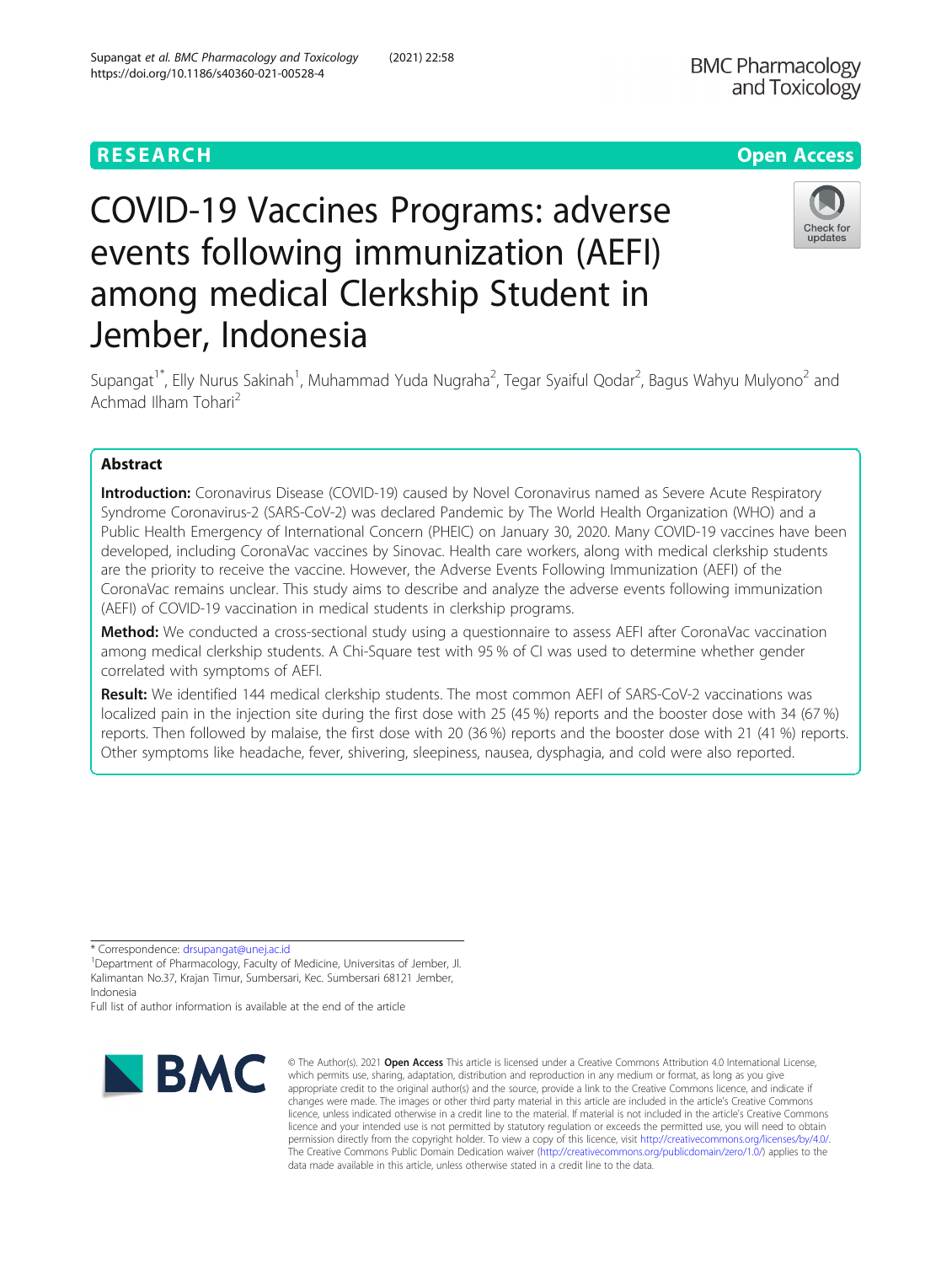# COVID-19 Vaccines Programs: adverse events following immunization (AEFI) among medical Clerkship Student in Jember, Indonesia



Supangat<sup>1\*</sup>, Elly Nurus Sakinah<sup>1</sup>, Muhammad Yuda Nugraha<sup>2</sup>, Tegar Syaiful Qodar<sup>2</sup>, Bagus Wahyu Mulyono<sup>2</sup> and Achmad Ilham Tohari<sup>2</sup>

## Abstract

Introduction: Coronavirus Disease (COVID-19) caused by Novel Coronavirus named as Severe Acute Respiratory Syndrome Coronavirus-2 (SARS-CoV-2) was declared Pandemic by The World Health Organization (WHO) and a Public Health Emergency of International Concern (PHEIC) on January 30, 2020. Many COVID-19 vaccines have been developed, including CoronaVac vaccines by Sinovac. Health care workers, along with medical clerkship students are the priority to receive the vaccine. However, the Adverse Events Following Immunization (AEFI) of the CoronaVac remains unclear. This study aims to describe and analyze the adverse events following immunization (AEFI) of COVID-19 vaccination in medical students in clerkship programs.

Method: We conducted a cross-sectional study using a questionnaire to assess AEFI after CoronaVac vaccination among medical clerkship students. A Chi-Square test with 95 % of CI was used to determine whether gender correlated with symptoms of AEFI.

Result: We identified 144 medical clerkship students. The most common AEFI of SARS-CoV-2 vaccinations was localized pain in the injection site during the first dose with 25 (45 %) reports and the booster dose with 34 (67 %) reports. Then followed by malaise, the first dose with 20 (36 %) reports and the booster dose with 21 (41 %) reports. Other symptoms like headache, fever, shivering, sleepiness, nausea, dysphagia, and cold were also reported.

\* Correspondence: [drsupangat@unej.ac.id](mailto:drsupangat@unej.ac.id) <sup>1</sup>

<sup>1</sup>Department of Pharmacology, Faculty of Medicine, Universitas of Jember, Jl. Kalimantan No.37, Krajan Timur, Sumbersari, Kec. Sumbersari 68121 Jember, Indonesia

Full list of author information is available at the end of the article



© The Author(s), 2021 **Open Access** This article is licensed under a Creative Commons Attribution 4.0 International License, which permits use, sharing, adaptation, distribution and reproduction in any medium or format, as long as you give appropriate credit to the original author(s) and the source, provide a link to the Creative Commons licence, and indicate if changes were made. The images or other third party material in this article are included in the article's Creative Commons licence, unless indicated otherwise in a credit line to the material. If material is not included in the article's Creative Commons licence and your intended use is not permitted by statutory regulation or exceeds the permitted use, you will need to obtain permission directly from the copyright holder. To view a copy of this licence, visit [http://creativecommons.org/licenses/by/4.0/.](http://creativecommons.org/licenses/by/4.0/) The Creative Commons Public Domain Dedication waiver [\(http://creativecommons.org/publicdomain/zero/1.0/](http://creativecommons.org/publicdomain/zero/1.0/)) applies to the data made available in this article, unless otherwise stated in a credit line to the data.

**BMC Pharmacology**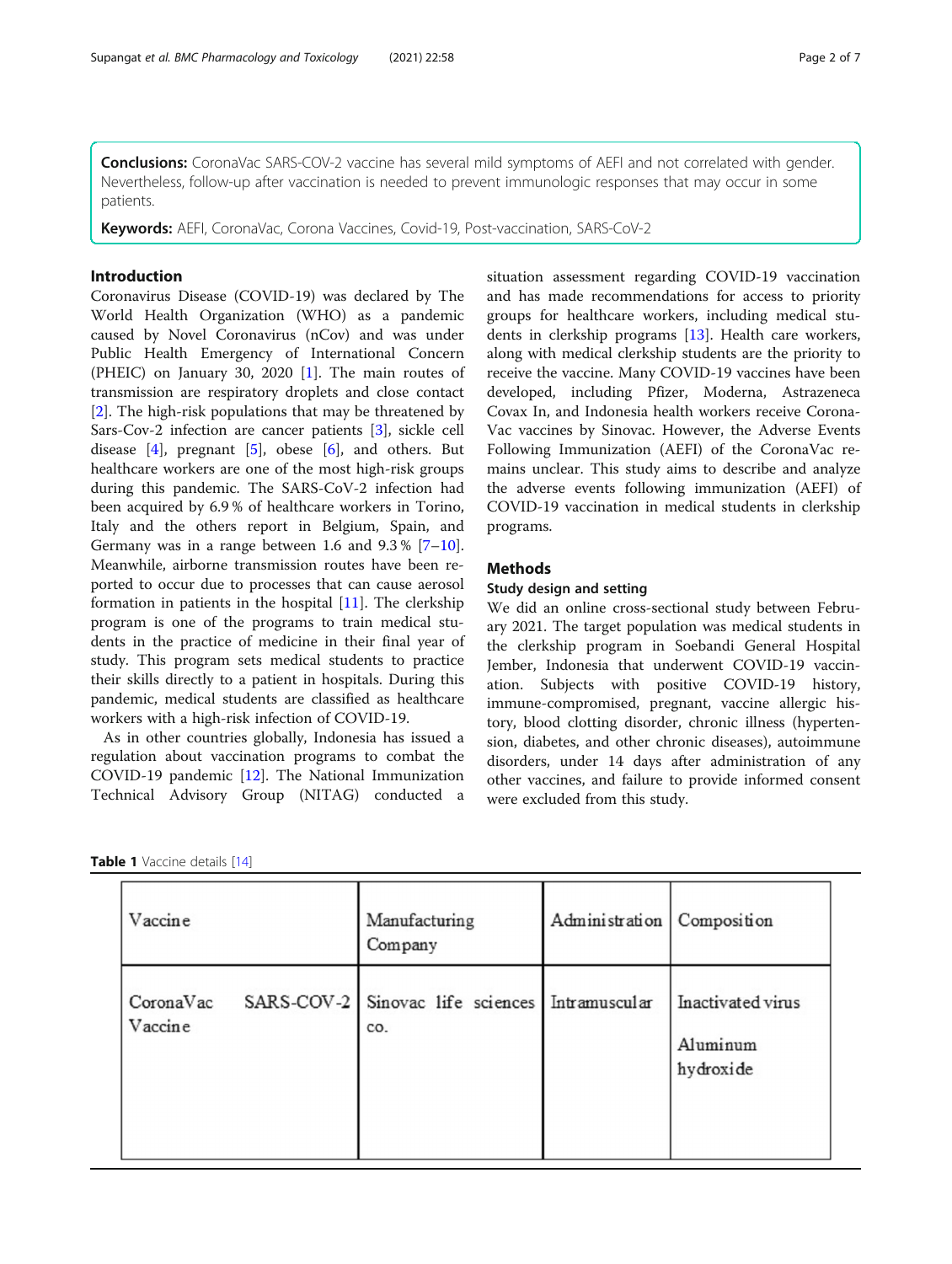<span id="page-1-0"></span>**Conclusions:** CoronaVac SARS-COV-2 vaccine has several mild symptoms of AEFI and not correlated with gender. Nevertheless, follow-up after vaccination is needed to prevent immunologic responses that may occur in some patients.

Keywords: AEFI, CoronaVac, Corona Vaccines, Covid-19, Post-vaccination, SARS-CoV-2

#### Introduction

Coronavirus Disease (COVID-19) was declared by The World Health Organization (WHO) as a pandemic caused by Novel Coronavirus (nCov) and was under Public Health Emergency of International Concern (PHEIC) on January 30, 2020 [\[1](#page-6-0)]. The main routes of transmission are respiratory droplets and close contact [[2\]](#page-6-0). The high-risk populations that may be threatened by Sars-Cov-2 infection are cancer patients [[3\]](#page-6-0), sickle cell disease  $[4]$  $[4]$  $[4]$ , pregnant  $[5]$  $[5]$  $[5]$ , obese  $[6]$  $[6]$ , and others. But healthcare workers are one of the most high-risk groups during this pandemic. The SARS-CoV-2 infection had been acquired by 6.9 % of healthcare workers in Torino, Italy and the others report in Belgium, Spain, and Germany was in a range between 1.6 and  $9.3\%$  [[7](#page-6-0)-[10](#page-6-0)]. Meanwhile, airborne transmission routes have been reported to occur due to processes that can cause aerosol formation in patients in the hospital [\[11\]](#page-6-0). The clerkship program is one of the programs to train medical students in the practice of medicine in their final year of study. This program sets medical students to practice their skills directly to a patient in hospitals. During this pandemic, medical students are classified as healthcare workers with a high-risk infection of COVID-19.

As in other countries globally, Indonesia has issued a regulation about vaccination programs to combat the COVID-19 pandemic [\[12\]](#page-6-0). The National Immunization Technical Advisory Group (NITAG) conducted a situation assessment regarding COVID-19 vaccination and has made recommendations for access to priority groups for healthcare workers, including medical students in clerkship programs [\[13](#page-6-0)]. Health care workers, along with medical clerkship students are the priority to receive the vaccine. Many COVID-19 vaccines have been developed, including Pfizer, Moderna, Astrazeneca Covax In, and Indonesia health workers receive Corona-Vac vaccines by Sinovac. However, the Adverse Events Following Immunization (AEFI) of the CoronaVac remains unclear. This study aims to describe and analyze the adverse events following immunization (AEFI) of COVID-19 vaccination in medical students in clerkship programs.

### Methods

#### Study design and setting

We did an online cross-sectional study between February 2021. The target population was medical students in the clerkship program in Soebandi General Hospital Jember, Indonesia that underwent COVID-19 vaccination. Subjects with positive COVID-19 history, immune-compromised, pregnant, vaccine allergic history, blood clotting disorder, chronic illness (hypertension, diabetes, and other chronic diseases), autoimmune disorders, under 14 days after administration of any other vaccines, and failure to provide informed consent were excluded from this study.

|  |  | <b>Table 1</b> Vaccine details [14] |  |  |
|--|--|-------------------------------------|--|--|
|--|--|-------------------------------------|--|--|

| Vaccine              | Manufacturing<br>Company                              | Administration   Composition |                                            |
|----------------------|-------------------------------------------------------|------------------------------|--------------------------------------------|
| CoronaVac<br>Vaccine | SARS-COV-2 Sinovac life sciences Intramuscular<br>CO. |                              | Inactivated virus<br>Aluminum<br>hydroxide |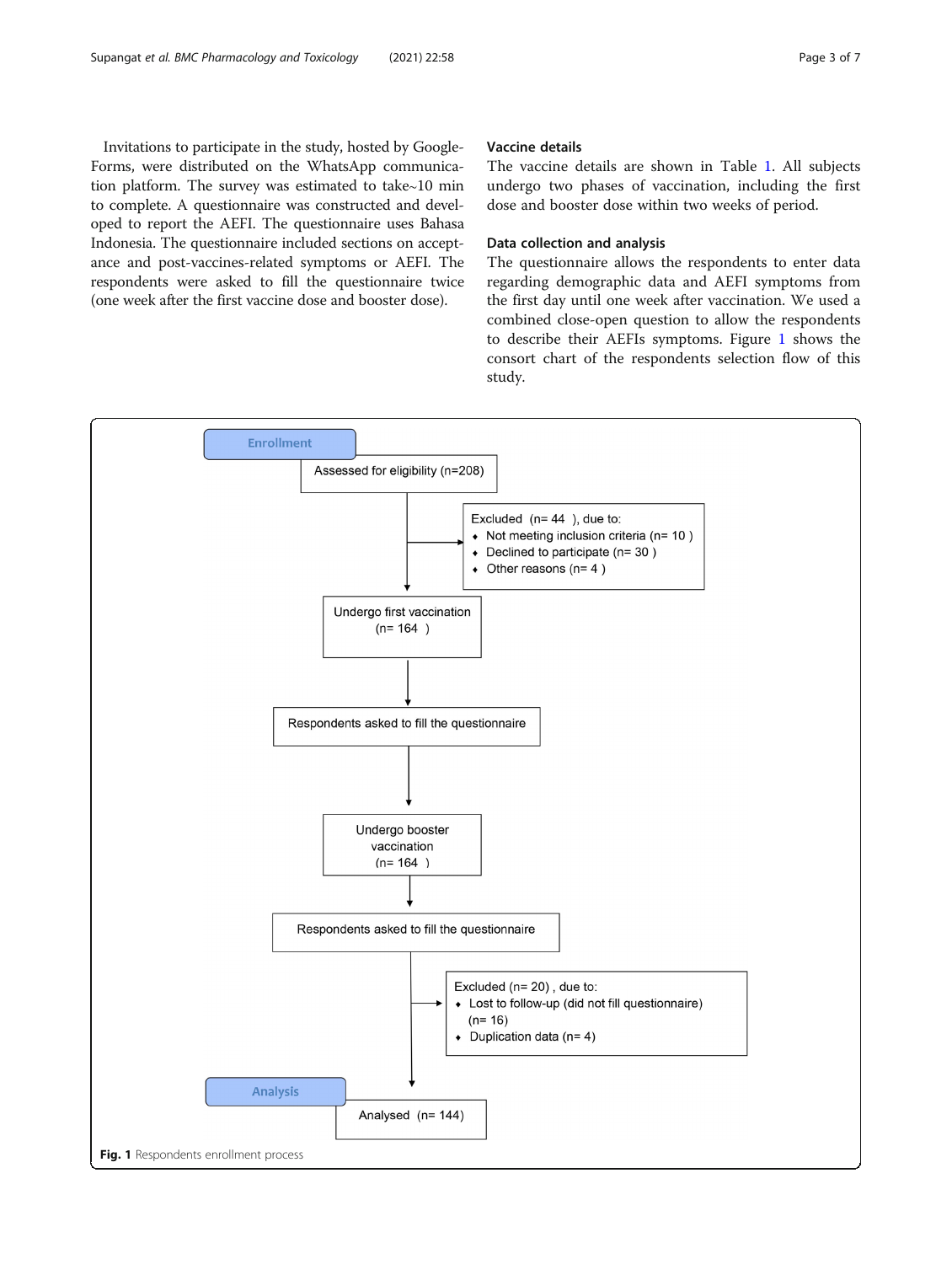<span id="page-2-0"></span>Invitations to participate in the study, hosted by Google-Forms, were distributed on the WhatsApp communication platform. The survey was estimated to take∼10 min to complete. A questionnaire was constructed and developed to report the AEFI. The questionnaire uses Bahasa Indonesia. The questionnaire included sections on acceptance and post-vaccines-related symptoms or AEFI. The respondents were asked to fill the questionnaire twice (one week after the first vaccine dose and booster dose).

#### Vaccine details

The vaccine details are shown in Table [1](#page-1-0). All subjects undergo two phases of vaccination, including the first dose and booster dose within two weeks of period.

#### Data collection and analysis

The questionnaire allows the respondents to enter data regarding demographic data and AEFI symptoms from the first day until one week after vaccination. We used a combined close-open question to allow the respondents to describe their AEFIs symptoms. Figure 1 shows the consort chart of the respondents selection flow of this study.

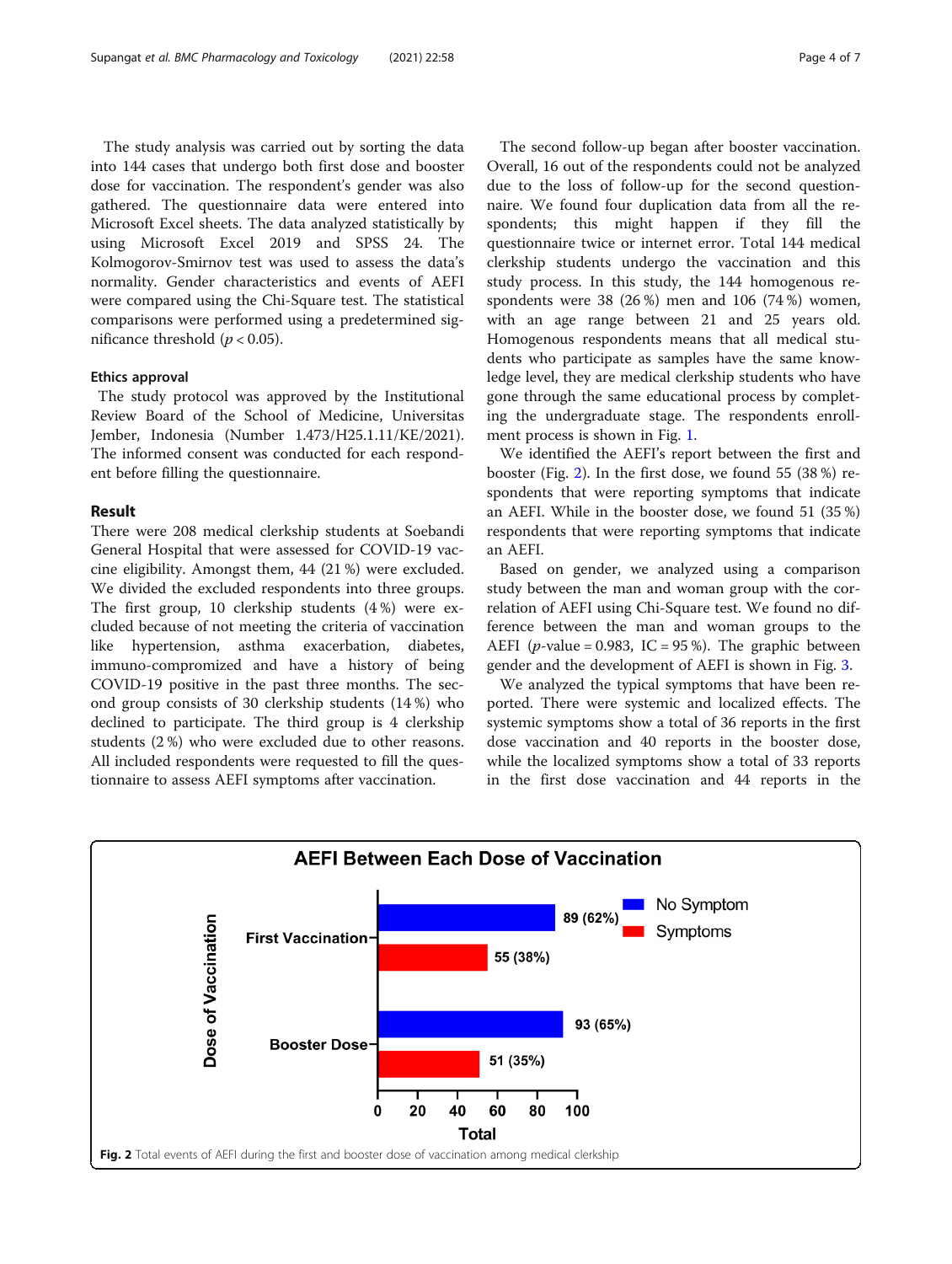The study analysis was carried out by sorting the data into 144 cases that undergo both first dose and booster dose for vaccination. The respondent's gender was also gathered. The questionnaire data were entered into Microsoft Excel sheets. The data analyzed statistically by using Microsoft Excel 2019 and SPSS 24. The Kolmogorov-Smirnov test was used to assess the data's normality. Gender characteristics and events of AEFI were compared using the Chi-Square test. The statistical comparisons were performed using a predetermined significance threshold ( $p < 0.05$ ).

#### Ethics approval

The study protocol was approved by the Institutional Review Board of the School of Medicine, Universitas Jember, Indonesia (Number 1.473/H25.1.11/KE/2021). The informed consent was conducted for each respondent before filling the questionnaire.

#### Result

There were 208 medical clerkship students at Soebandi General Hospital that were assessed for COVID-19 vaccine eligibility. Amongst them, 44 (21 %) were excluded. We divided the excluded respondents into three groups. The first group, 10 clerkship students (4 %) were excluded because of not meeting the criteria of vaccination like hypertension, asthma exacerbation, diabetes, immuno-compromized and have a history of being COVID-19 positive in the past three months. The second group consists of 30 clerkship students (14 %) who declined to participate. The third group is 4 clerkship students (2 %) who were excluded due to other reasons. All included respondents were requested to fill the questionnaire to assess AEFI symptoms after vaccination.

The second follow-up began after booster vaccination. Overall, 16 out of the respondents could not be analyzed due to the loss of follow-up for the second questionnaire. We found four duplication data from all the respondents; this might happen if they fill the questionnaire twice or internet error. Total 144 medical clerkship students undergo the vaccination and this study process. In this study, the 144 homogenous respondents were 38 (26 %) men and 106 (74 %) women, with an age range between 21 and 25 years old. Homogenous respondents means that all medical students who participate as samples have the same knowledge level, they are medical clerkship students who have gone through the same educational process by completing the undergraduate stage. The respondents enrollment process is shown in Fig. [1](#page-2-0).

We identified the AEFI's report between the first and booster (Fig. 2). In the first dose, we found 55 (38 %) respondents that were reporting symptoms that indicate an AEFI. While in the booster dose, we found 51 (35 %) respondents that were reporting symptoms that indicate an AEFI.

Based on gender, we analyzed using a comparison study between the man and woman group with the correlation of AEFI using Chi-Square test. We found no difference between the man and woman groups to the AEFI (*p*-value = 0.983, IC = 95 %). The graphic between gender and the development of AEFI is shown in Fig. [3](#page-4-0).

We analyzed the typical symptoms that have been reported. There were systemic and localized effects. The systemic symptoms show a total of 36 reports in the first dose vaccination and 40 reports in the booster dose, while the localized symptoms show a total of 33 reports in the first dose vaccination and 44 reports in the

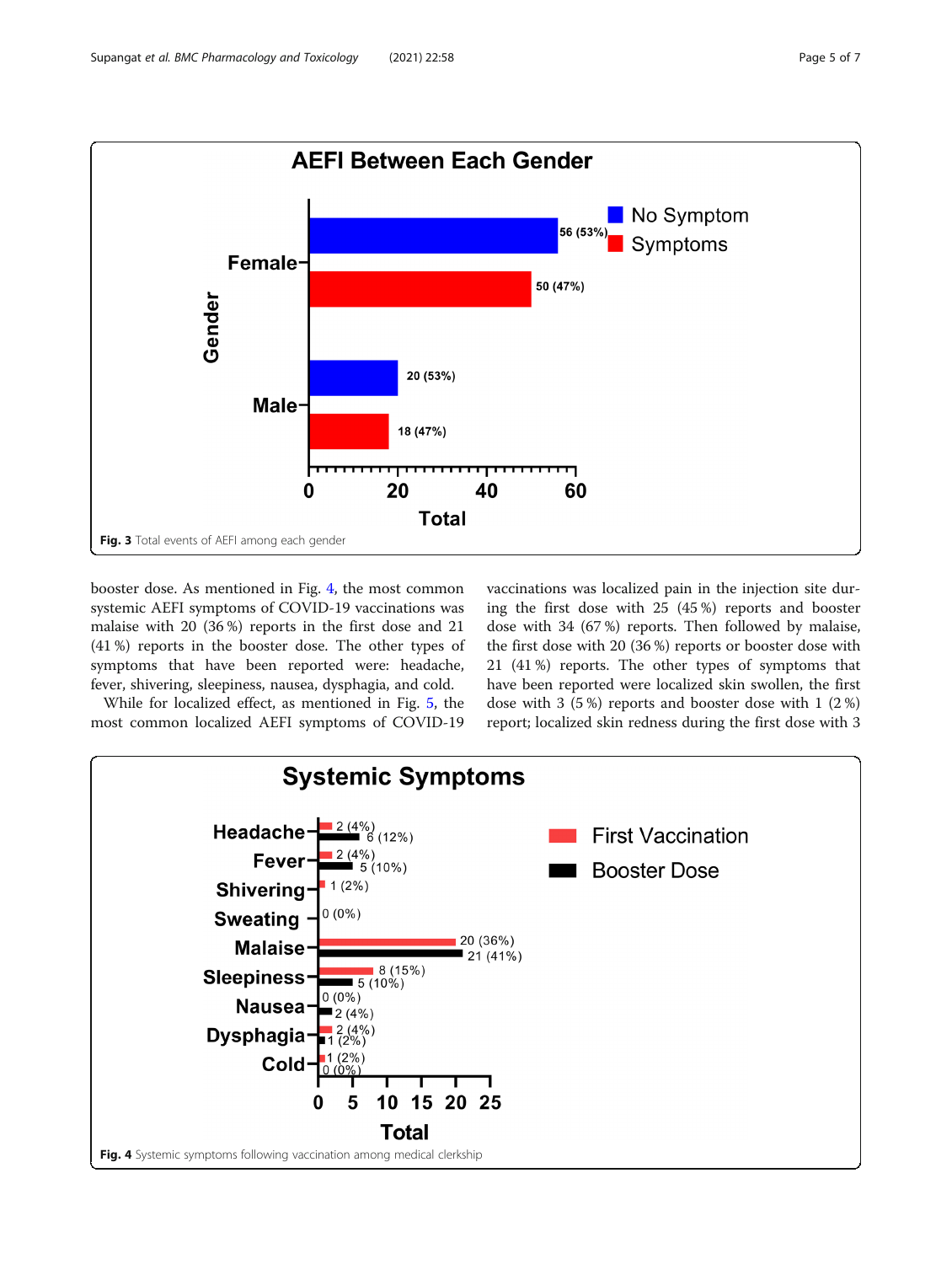<span id="page-4-0"></span>

booster dose. As mentioned in Fig. 4, the most common systemic AEFI symptoms of COVID-19 vaccinations was malaise with 20 (36 %) reports in the first dose and 21 (41 %) reports in the booster dose. The other types of symptoms that have been reported were: headache, fever, shivering, sleepiness, nausea, dysphagia, and cold.

While for localized effect, as mentioned in Fig. [5,](#page-5-0) the most common localized AEFI symptoms of COVID-19 vaccinations was localized pain in the injection site during the first dose with 25 (45 %) reports and booster dose with 34 (67 %) reports. Then followed by malaise, the first dose with 20 (36 %) reports or booster dose with 21 (41 %) reports. The other types of symptoms that have been reported were localized skin swollen, the first dose with 3 (5 %) reports and booster dose with 1 (2 %) report; localized skin redness during the first dose with 3

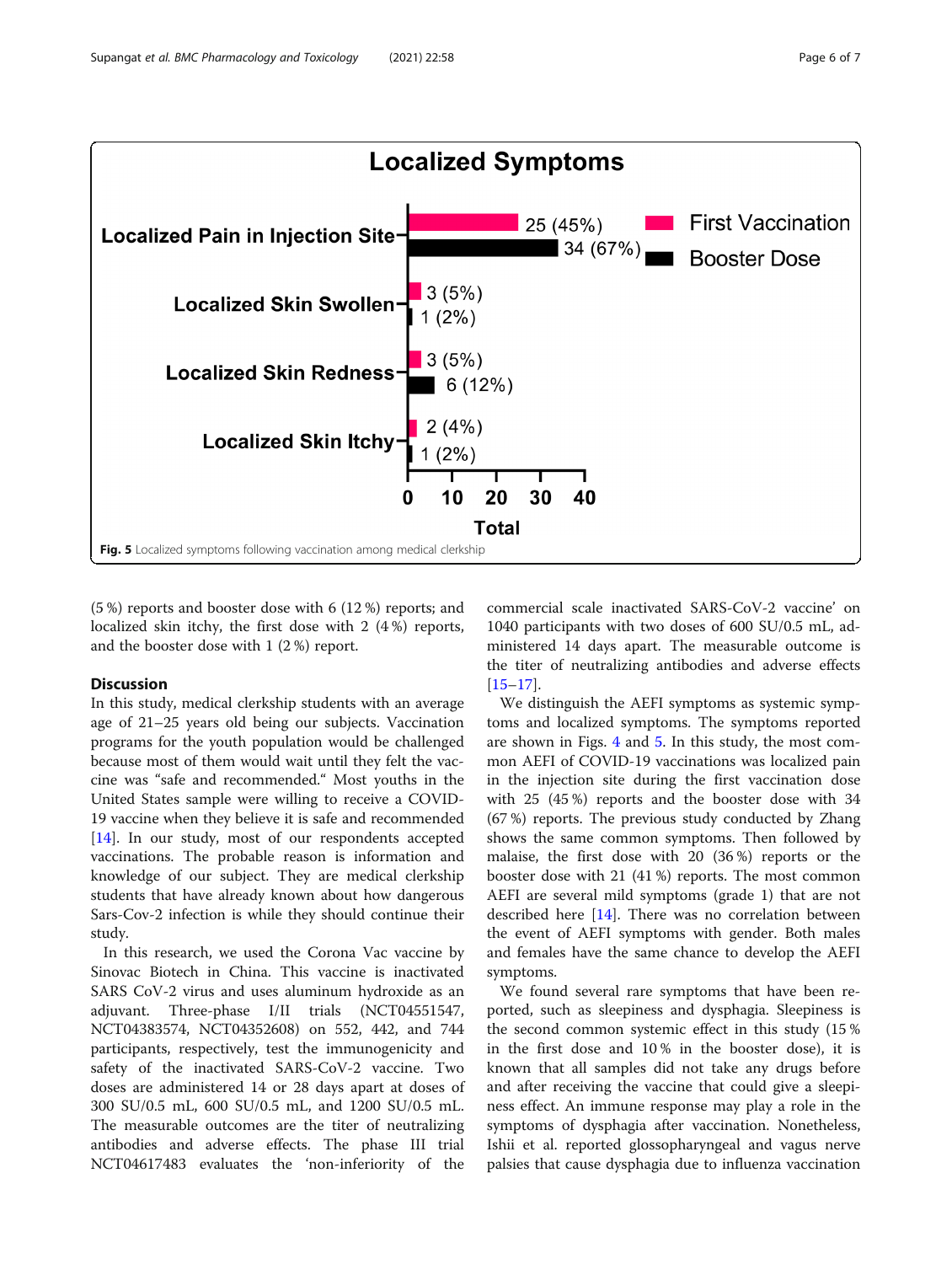<span id="page-5-0"></span>

(5 %) reports and booster dose with 6 (12 %) reports; and localized skin itchy, the first dose with 2 (4 %) reports, and the booster dose with 1 (2 %) report.

#### Discussion

In this study, medical clerkship students with an average age of 21–25 years old being our subjects. Vaccination programs for the youth population would be challenged because most of them would wait until they felt the vaccine was "safe and recommended." Most youths in the United States sample were willing to receive a COVID-19 vaccine when they believe it is safe and recommended [[14\]](#page-6-0). In our study, most of our respondents accepted vaccinations. The probable reason is information and knowledge of our subject. They are medical clerkship students that have already known about how dangerous Sars-Cov-2 infection is while they should continue their study.

In this research, we used the Corona Vac vaccine by Sinovac Biotech in China. This vaccine is inactivated SARS CoV-2 virus and uses aluminum hydroxide as an adjuvant. Three-phase I/II trials (NCT04551547, NCT04383574, NCT04352608) on 552, 442, and 744 participants, respectively, test the immunogenicity and safety of the inactivated SARS-CoV-2 vaccine. Two doses are administered 14 or 28 days apart at doses of 300 SU/0.5 mL, 600 SU/0.5 mL, and 1200 SU/0.5 mL. The measurable outcomes are the titer of neutralizing antibodies and adverse effects. The phase III trial NCT04617483 evaluates the 'non-inferiority of the

commercial scale inactivated SARS-CoV-2 vaccine' on 1040 participants with two doses of 600 SU/0.5 mL, administered 14 days apart. The measurable outcome is the titer of neutralizing antibodies and adverse effects [[15](#page-6-0)–[17](#page-6-0)].

We distinguish the AEFI symptoms as systemic symptoms and localized symptoms. The symptoms reported are shown in Figs. [4](#page-4-0) and 5. In this study, the most common AEFI of COVID-19 vaccinations was localized pain in the injection site during the first vaccination dose with 25 (45 %) reports and the booster dose with 34 (67 %) reports. The previous study conducted by Zhang shows the same common symptoms. Then followed by malaise, the first dose with 20 (36 %) reports or the booster dose with 21 (41 %) reports. The most common AEFI are several mild symptoms (grade 1) that are not described here [\[14](#page-6-0)]. There was no correlation between the event of AEFI symptoms with gender. Both males and females have the same chance to develop the AEFI symptoms.

We found several rare symptoms that have been reported, such as sleepiness and dysphagia. Sleepiness is the second common systemic effect in this study (15 % in the first dose and 10 % in the booster dose), it is known that all samples did not take any drugs before and after receiving the vaccine that could give a sleepiness effect. An immune response may play a role in the symptoms of dysphagia after vaccination. Nonetheless, Ishii et al. reported glossopharyngeal and vagus nerve palsies that cause dysphagia due to influenza vaccination